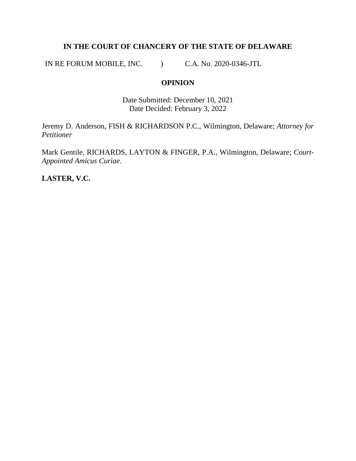# **IN THE COURT OF CHANCERY OF THE STATE OF DELAWARE**

IN RE FORUM MOBILE, INC. (C.A. No. 2020-0346-JTL)

## **OPINION**

Date Submitted: December 10, 2021 Date Decided: February 3, 2022

Jeremy D. Anderson, FISH & RICHARDSON P.C., Wilmington, Delaware; *Attorney for Petitioner*

Mark Gentile, RICHARDS, LAYTON & FINGER, P.A., Wilmington, Delaware; *Court-Appointed Amicus Curiae*.

**LASTER, V.C.**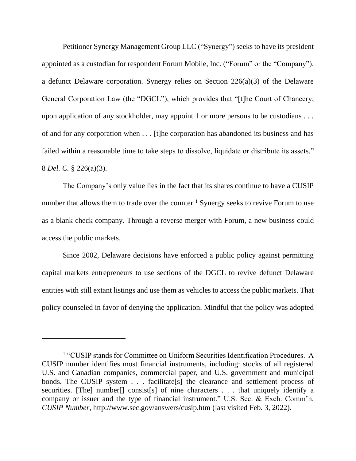Petitioner Synergy Management Group LLC ("Synergy") seeks to have its president appointed as a custodian for respondent Forum Mobile, Inc. ("Forum" or the "Company"), a defunct Delaware corporation. Synergy relies on Section 226(a)(3) of the Delaware General Corporation Law (the "DGCL"), which provides that "[t]he Court of Chancery, upon application of any stockholder, may appoint 1 or more persons to be custodians . . . of and for any corporation when . . . [t]he corporation has abandoned its business and has failed within a reasonable time to take steps to dissolve, liquidate or distribute its assets." 8 *Del. C.* § 226(a)(3).

The Company's only value lies in the fact that its shares continue to have a CUSIP number that allows them to trade over the counter.<sup>1</sup> Synergy seeks to revive Forum to use as a blank check company. Through a reverse merger with Forum, a new business could access the public markets.

Since 2002, Delaware decisions have enforced a public policy against permitting capital markets entrepreneurs to use sections of the DGCL to revive defunct Delaware entities with still extant listings and use them as vehicles to access the public markets. That policy counseled in favor of denying the application. Mindful that the policy was adopted

<sup>&</sup>lt;sup>1</sup> "CUSIP stands for Committee on Uniform Securities Identification Procedures. A CUSIP number identifies most financial instruments, including: stocks of all registered U.S. and Canadian companies, commercial paper, and U.S. government and municipal bonds. The CUSIP system . . . facilitate[s] the clearance and settlement process of securities. [The] number[] consist[s] of nine characters . . . that uniquely identify a company or issuer and the type of financial instrument." U.S. Sec. & Exch. Comm'n, *CUSIP Number*, http://www.sec.gov/answers/cusip.htm (last visited Feb. 3, 2022).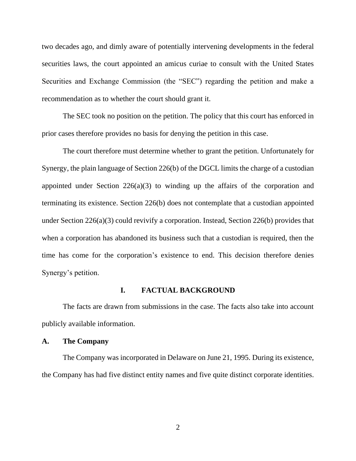two decades ago, and dimly aware of potentially intervening developments in the federal securities laws, the court appointed an amicus curiae to consult with the United States Securities and Exchange Commission (the "SEC") regarding the petition and make a recommendation as to whether the court should grant it.

The SEC took no position on the petition. The policy that this court has enforced in prior cases therefore provides no basis for denying the petition in this case.

The court therefore must determine whether to grant the petition. Unfortunately for Synergy, the plain language of Section 226(b) of the DGCL limits the charge of a custodian appointed under Section  $226(a)(3)$  to winding up the affairs of the corporation and terminating its existence. Section 226(b) does not contemplate that a custodian appointed under Section 226(a)(3) could revivify a corporation. Instead, Section 226(b) provides that when a corporation has abandoned its business such that a custodian is required, then the time has come for the corporation's existence to end. This decision therefore denies Synergy's petition.

#### **I. FACTUAL BACKGROUND**

The facts are drawn from submissions in the case. The facts also take into account publicly available information.

#### **A. The Company**

The Company was incorporated in Delaware on June 21, 1995. During its existence, the Company has had five distinct entity names and five quite distinct corporate identities.

2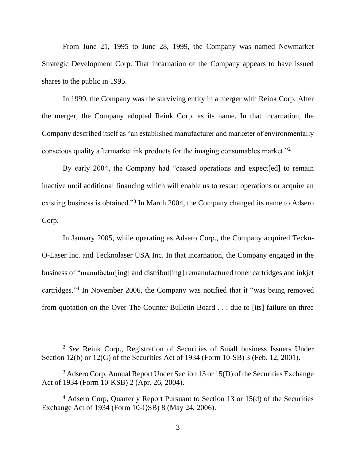From June 21, 1995 to June 28, 1999, the Company was named Newmarket Strategic Development Corp. That incarnation of the Company appears to have issued shares to the public in 1995.

In 1999, the Company was the surviving entity in a merger with Reink Corp. After the merger, the Company adopted Reink Corp. as its name. In that incarnation, the Company described itself as "an established manufacturer and marketer of environmentally conscious quality aftermarket ink products for the imaging consumables market."<sup>2</sup>

By early 2004, the Company had "ceased operations and expect[ed] to remain inactive until additional financing which will enable us to restart operations or acquire an existing business is obtained."<sup>3</sup> In March 2004, the Company changed its name to Adsero Corp.

In January 2005, while operating as Adsero Corp., the Company acquired Teckn-O-Laser Inc. and Tecknolaser USA Inc. In that incarnation, the Company engaged in the business of "manufactur[ing] and distribut[ing] remanufactured toner cartridges and inkjet cartridges."<sup>4</sup> In November 2006, the Company was notified that it "was being removed from quotation on the Over-The-Counter Bulletin Board . . . due to [its] failure on three

<sup>2</sup> *See* Reink Corp., Registration of Securities of Small business Issuers Under Section 12(b) or 12(G) of the Securities Act of 1934 (Form 10-SB) 3 (Feb. 12, 2001).

<sup>&</sup>lt;sup>3</sup> Adsero Corp, Annual Report Under Section 13 or 15(D) of the Securities Exchange Act of 1934 (Form 10-KSB) 2 (Apr. 26, 2004).

<sup>4</sup> Adsero Corp, Quarterly Report Pursuant to Section 13 or 15(d) of the Securities Exchange Act of 1934 (Form 10-QSB) 8 (May 24, 2006).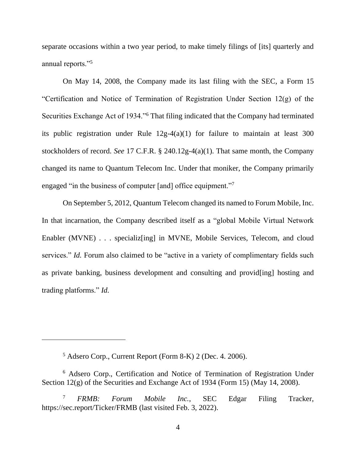separate occasions within a two year period, to make timely filings of [its] quarterly and annual reports."<sup>5</sup>

On May 14, 2008, the Company made its last filing with the SEC, a Form 15 "Certification and Notice of Termination of Registration Under Section 12(g) of the Securities Exchange Act of 1934."<sup>6</sup> That filing indicated that the Company had terminated its public registration under Rule 12g-4(a)(1) for failure to maintain at least 300 stockholders of record. *See* 17 C.F.R. § 240.12g-4(a)(1). That same month, the Company changed its name to Quantum Telecom Inc. Under that moniker, the Company primarily engaged "in the business of computer [and] office equipment."

On September 5, 2012, Quantum Telecom changed its named to Forum Mobile, Inc. In that incarnation, the Company described itself as a "global Mobile Virtual Network Enabler (MVNE) . . . specializ[ing] in MVNE, Mobile Services, Telecom, and cloud services." *Id.* Forum also claimed to be "active in a variety of complimentary fields such as private banking, business development and consulting and provid[ing] hosting and trading platforms." *Id.*

<sup>5</sup> Adsero Corp., Current Report (Form 8-K) 2 (Dec. 4. 2006).

<sup>6</sup> Adsero Corp., Certification and Notice of Termination of Registration Under Section 12(g) of the Securities and Exchange Act of 1934 (Form 15) (May 14, 2008).

<sup>7</sup> *FRMB: Forum Mobile Inc.*, SEC Edgar Filing Tracker, https://sec.report/Ticker/FRMB (last visited Feb. 3, 2022).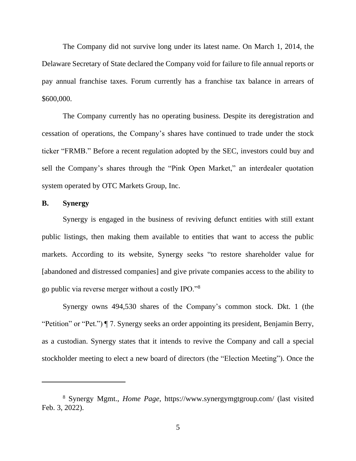The Company did not survive long under its latest name. On March 1, 2014, the Delaware Secretary of State declared the Company void for failure to file annual reports or pay annual franchise taxes. Forum currently has a franchise tax balance in arrears of \$600,000.

The Company currently has no operating business. Despite its deregistration and cessation of operations, the Company's shares have continued to trade under the stock ticker "FRMB." Before a recent regulation adopted by the SEC, investors could buy and sell the Company's shares through the "Pink Open Market," an interdealer quotation system operated by OTC Markets Group, Inc.

## **B. Synergy**

Synergy is engaged in the business of reviving defunct entities with still extant public listings, then making them available to entities that want to access the public markets. According to its website, Synergy seeks "to restore shareholder value for [abandoned and distressed companies] and give private companies access to the ability to go public via reverse merger without a costly IPO."<sup>8</sup>

Synergy owns 494,530 shares of the Company's common stock. Dkt. 1 (the "Petition" or "Pet.") ¶ 7. Synergy seeks an order appointing its president, Benjamin Berry, as a custodian. Synergy states that it intends to revive the Company and call a special stockholder meeting to elect a new board of directors (the "Election Meeting"). Once the

<sup>8</sup> Synergy Mgmt., *Home Page*, https://www.synergymgtgroup.com/ (last visited Feb. 3, 2022).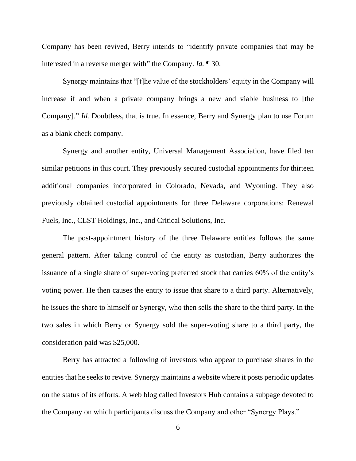Company has been revived, Berry intends to "identify private companies that may be interested in a reverse merger with" the Company. *Id.* ¶ 30.

Synergy maintains that "[t]he value of the stockholders' equity in the Company will increase if and when a private company brings a new and viable business to [the Company]." *Id.* Doubtless, that is true. In essence, Berry and Synergy plan to use Forum as a blank check company.

Synergy and another entity, Universal Management Association, have filed ten similar petitions in this court. They previously secured custodial appointments for thirteen additional companies incorporated in Colorado, Nevada, and Wyoming. They also previously obtained custodial appointments for three Delaware corporations: Renewal Fuels, Inc., CLST Holdings, Inc., and Critical Solutions, Inc.

The post-appointment history of the three Delaware entities follows the same general pattern. After taking control of the entity as custodian, Berry authorizes the issuance of a single share of super-voting preferred stock that carries 60% of the entity's voting power. He then causes the entity to issue that share to a third party. Alternatively, he issues the share to himself or Synergy, who then sells the share to the third party. In the two sales in which Berry or Synergy sold the super-voting share to a third party, the consideration paid was \$25,000.

Berry has attracted a following of investors who appear to purchase shares in the entities that he seeks to revive. Synergy maintains a website where it posts periodic updates on the status of its efforts. A web blog called Investors Hub contains a subpage devoted to the Company on which participants discuss the Company and other "Synergy Plays."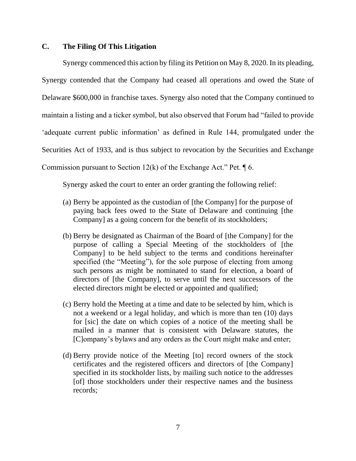## **C. The Filing Of This Litigation**

Synergy commenced this action by filing its Petition on May 8, 2020. In its pleading, Synergy contended that the Company had ceased all operations and owed the State of Delaware \$600,000 in franchise taxes. Synergy also noted that the Company continued to maintain a listing and a ticker symbol, but also observed that Forum had "failed to provide 'adequate current public information' as defined in Rule 144, promulgated under the Securities Act of 1933, and is thus subject to revocation by the Securities and Exchange Commission pursuant to Section 12(k) of the Exchange Act." Pet.  $\P$  6.

Synergy asked the court to enter an order granting the following relief:

- (a) Berry be appointed as the custodian of [the Company] for the purpose of paying back fees owed to the State of Delaware and continuing [the Company] as a going concern for the benefit of its stockholders;
- (b) Berry be designated as Chairman of the Board of [the Company] for the purpose of calling a Special Meeting of the stockholders of [the Company] to be held subject to the terms and conditions hereinafter specified (the "Meeting"), for the sole purpose of electing from among such persons as might be nominated to stand for election, a board of directors of [the Company], to serve until the next successors of the elected directors might be elected or appointed and qualified;
- (c) Berry hold the Meeting at a time and date to be selected by him, which is not a weekend or a legal holiday, and which is more than ten (10) days for [sic] the date on which copies of a notice of the meeting shall be mailed in a manner that is consistent with Delaware statutes, the [C]ompany's bylaws and any orders as the Court might make and enter;
- (d) Berry provide notice of the Meeting [to] record owners of the stock certificates and the registered officers and directors of [the Company] specified in its stockholder lists, by mailing such notice to the addresses [of] those stockholders under their respective names and the business records;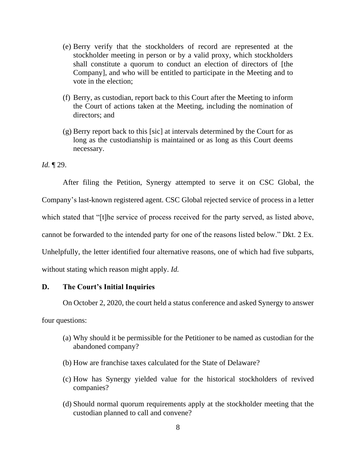- (e) Berry verify that the stockholders of record are represented at the stockholder meeting in person or by a valid proxy, which stockholders shall constitute a quorum to conduct an election of directors of [the Company], and who will be entitled to participate in the Meeting and to vote in the election;
- (f) Berry, as custodian, report back to this Court after the Meeting to inform the Court of actions taken at the Meeting, including the nomination of directors; and
- (g) Berry report back to this [sic] at intervals determined by the Court for as long as the custodianship is maintained or as long as this Court deems necessary.

*Id.* ¶ 29.

After filing the Petition, Synergy attempted to serve it on CSC Global, the Company's last-known registered agent. CSC Global rejected service of process in a letter which stated that "[t]he service of process received for the party served, as listed above, cannot be forwarded to the intended party for one of the reasons listed below." Dkt. 2 Ex. Unhelpfully, the letter identified four alternative reasons, one of which had five subparts, without stating which reason might apply. *Id.*

# **D. The Court's Initial Inquiries**

On October 2, 2020, the court held a status conference and asked Synergy to answer

four questions:

- (a) Why should it be permissible for the Petitioner to be named as custodian for the abandoned company?
- (b) How are franchise taxes calculated for the State of Delaware?
- (c) How has Synergy yielded value for the historical stockholders of revived companies?
- (d) Should normal quorum requirements apply at the stockholder meeting that the custodian planned to call and convene?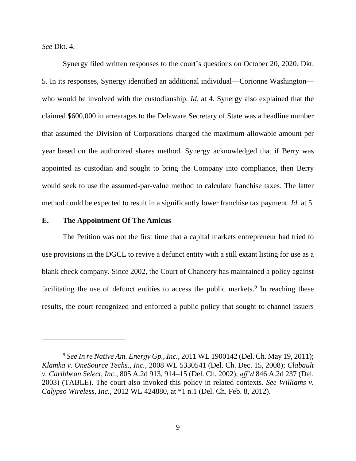*See* Dkt. 4.

Synergy filed written responses to the court's questions on October 20, 2020. Dkt. 5. In its responses, Synergy identified an additional individual—Corionne Washington who would be involved with the custodianship. *Id.* at 4. Synergy also explained that the claimed \$600,000 in arrearages to the Delaware Secretary of State was a headline number that assumed the Division of Corporations charged the maximum allowable amount per year based on the authorized shares method. Synergy acknowledged that if Berry was appointed as custodian and sought to bring the Company into compliance, then Berry would seek to use the assumed-par-value method to calculate franchise taxes. The latter method could be expected to result in a significantly lower franchise tax payment. *Id.* at 5.

#### **E. The Appointment Of The Amicus**

The Petition was not the first time that a capital markets entrepreneur had tried to use provisions in the DGCL to revive a defunct entity with a still extant listing for use as a blank check company. Since 2002, the Court of Chancery has maintained a policy against facilitating the use of defunct entities to access the public markets.<sup>9</sup> In reaching these results, the court recognized and enforced a public policy that sought to channel issuers

<sup>9</sup> *See In re Native Am. Energy Gp., Inc.*, 2011 WL 1900142 (Del. Ch. May 19, 2011); *Klamka v. OneSource Techs., Inc.*, 2008 WL 5330541 (Del. Ch. Dec. 15, 2008); *Clabault v. Caribbean Select, Inc.*, 805 A.2d 913, 914–15 (Del. Ch. 2002), *aff'd* 846 A.2d 237 (Del. 2003) (TABLE). The court also invoked this policy in related contexts. *See Williams v. Calypso Wireless, Inc.*, 2012 WL 424880, at \*1 n.1 (Del. Ch. Feb. 8, 2012).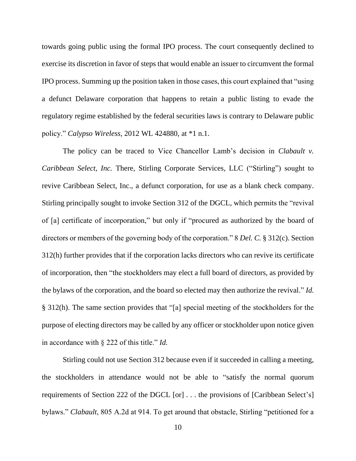towards going public using the formal IPO process. The court consequently declined to exercise its discretion in favor of steps that would enable an issuer to circumvent the formal IPO process. Summing up the position taken in those cases, this court explained that "using a defunct Delaware corporation that happens to retain a public listing to evade the regulatory regime established by the federal securities laws is contrary to Delaware public policy." *Calypso Wireless*, 2012 WL 424880, at \*1 n.1.

The policy can be traced to Vice Chancellor Lamb's decision in *Clabault v. Caribbean Select, Inc.* There, Stirling Corporate Services, LLC ("Stirling") sought to revive Caribbean Select, Inc., a defunct corporation, for use as a blank check company. Stirling principally sought to invoke Section 312 of the DGCL, which permits the "revival of [a] certificate of incorporation," but only if "procured as authorized by the board of directors or members of the governing body of the corporation." 8 *Del. C.* § 312(c). Section 312(h) further provides that if the corporation lacks directors who can revive its certificate of incorporation, then "the stockholders may elect a full board of directors, as provided by the bylaws of the corporation, and the board so elected may then authorize the revival." *Id.* § 312(h). The same section provides that "[a] special meeting of the stockholders for the purpose of electing directors may be called by any officer or stockholder upon notice given in accordance with § 222 of this title." *Id.*

Stirling could not use Section 312 because even if it succeeded in calling a meeting, the stockholders in attendance would not be able to "satisfy the normal quorum requirements of Section 222 of the DGCL [or] . . . the provisions of [Caribbean Select's] bylaws." *Clabault*, 805 A.2d at 914. To get around that obstacle, Stirling "petitioned for a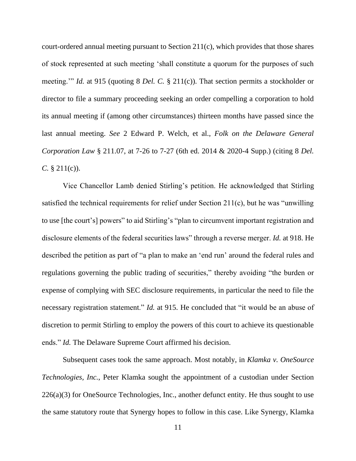court-ordered annual meeting pursuant to Section 211(c), which provides that those shares of stock represented at such meeting 'shall constitute a quorum for the purposes of such meeting.'" *Id.* at 915 (quoting 8 *Del. C.* § 211(c)). That section permits a stockholder or director to file a summary proceeding seeking an order compelling a corporation to hold its annual meeting if (among other circumstances) thirteen months have passed since the last annual meeting. *See* 2 Edward P. Welch, et al., *Folk on the Delaware General Corporation Law* § 211.07, at 7-26 to 7-27 (6th ed. 2014 & 2020-4 Supp.) (citing 8 *Del. C.* § 211(c)).

Vice Chancellor Lamb denied Stirling's petition. He acknowledged that Stirling satisfied the technical requirements for relief under Section 211(c), but he was "unwilling to use [the court's] powers" to aid Stirling's "plan to circumvent important registration and disclosure elements of the federal securities laws" through a reverse merger. *Id.* at 918. He described the petition as part of "a plan to make an 'end run' around the federal rules and regulations governing the public trading of securities," thereby avoiding "the burden or expense of complying with SEC disclosure requirements, in particular the need to file the necessary registration statement." *Id.* at 915. He concluded that "it would be an abuse of discretion to permit Stirling to employ the powers of this court to achieve its questionable ends." *Id.* The Delaware Supreme Court affirmed his decision.

Subsequent cases took the same approach. Most notably, in *Klamka v. OneSource Technologies, Inc.*, Peter Klamka sought the appointment of a custodian under Section 226(a)(3) for OneSource Technologies, Inc., another defunct entity. He thus sought to use the same statutory route that Synergy hopes to follow in this case. Like Synergy, Klamka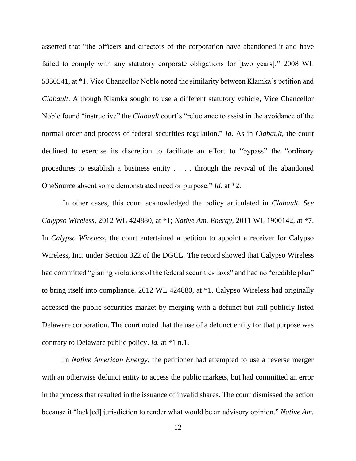asserted that "the officers and directors of the corporation have abandoned it and have failed to comply with any statutory corporate obligations for [two years]." 2008 WL 5330541, at \*1. Vice Chancellor Noble noted the similarity between Klamka's petition and *Clabault*. Although Klamka sought to use a different statutory vehicle, Vice Chancellor Noble found "instructive" the *Clabault* court's "reluctance to assist in the avoidance of the normal order and process of federal securities regulation." *Id.* As in *Clabault*, the court declined to exercise its discretion to facilitate an effort to "bypass" the "ordinary procedures to establish a business entity . . . . through the revival of the abandoned OneSource absent some demonstrated need or purpose." *Id.* at \*2.

In other cases, this court acknowledged the policy articulated in *Clabault. See Calypso Wireless*, 2012 WL 424880, at \*1; *Native Am. Energy*, 2011 WL 1900142, at \*7. In *Calypso Wireless*, the court entertained a petition to appoint a receiver for Calypso Wireless, Inc. under Section 322 of the DGCL. The record showed that Calypso Wireless had committed "glaring violations of the federal securities laws" and had no "credible plan" to bring itself into compliance. 2012 WL 424880, at \*1. Calypso Wireless had originally accessed the public securities market by merging with a defunct but still publicly listed Delaware corporation. The court noted that the use of a defunct entity for that purpose was contrary to Delaware public policy. *Id.* at \*1 n.1.

In *Native American Energy*, the petitioner had attempted to use a reverse merger with an otherwise defunct entity to access the public markets, but had committed an error in the process that resulted in the issuance of invalid shares. The court dismissed the action because it "lack[ed] jurisdiction to render what would be an advisory opinion." *Native Am.*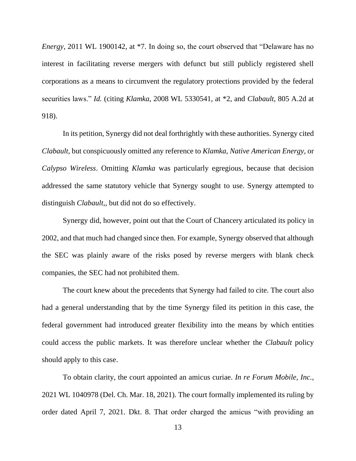*Energy*, 2011 WL 1900142, at <sup>\*7</sup>. In doing so, the court observed that "Delaware has no interest in facilitating reverse mergers with defunct but still publicly registered shell corporations as a means to circumvent the regulatory protections provided by the federal securities laws." *Id.* (citing *Klamka*, 2008 WL 5330541, at \*2, and *Clabault*, 805 A.2d at 918).

In its petition, Synergy did not deal forthrightly with these authorities. Synergy cited *Clabault*, but conspicuously omitted any reference to *Klamka*, *Native American Energy*, or *Calypso Wireless*. Omitting *Klamka* was particularly egregious, because that decision addressed the same statutory vehicle that Synergy sought to use. Synergy attempted to distinguish *Clabault,*, but did not do so effectively.

Synergy did, however, point out that the Court of Chancery articulated its policy in 2002, and that much had changed since then. For example, Synergy observed that although the SEC was plainly aware of the risks posed by reverse mergers with blank check companies, the SEC had not prohibited them.

The court knew about the precedents that Synergy had failed to cite. The court also had a general understanding that by the time Synergy filed its petition in this case, the federal government had introduced greater flexibility into the means by which entities could access the public markets. It was therefore unclear whether the *Clabault* policy should apply to this case.

To obtain clarity, the court appointed an amicus curiae. *In re Forum Mobile, Inc.*, 2021 WL 1040978 (Del. Ch. Mar. 18, 2021). The court formally implemented its ruling by order dated April 7, 2021. Dkt. 8. That order charged the amicus "with providing an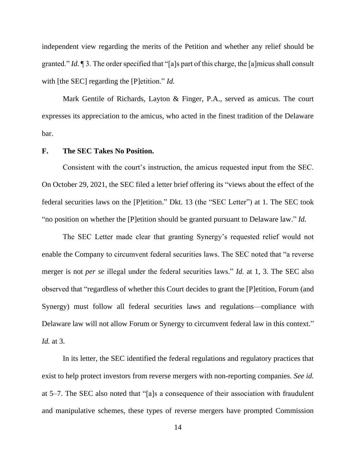independent view regarding the merits of the Petition and whether any relief should be granted." *Id.* ¶ 3. The order specified that "[a]s part of this charge, the [a]micus shall consult with [the SEC] regarding the [P]etition." *Id.*

Mark Gentile of Richards, Layton & Finger, P.A., served as amicus. The court expresses its appreciation to the amicus, who acted in the finest tradition of the Delaware bar.

## **F. The SEC Takes No Position.**

Consistent with the court's instruction, the amicus requested input from the SEC. On October 29, 2021, the SEC filed a letter brief offering its "views about the effect of the federal securities laws on the [P]etition." Dkt. 13 (the "SEC Letter") at 1. The SEC took "no position on whether the [P]etition should be granted pursuant to Delaware law." *Id.*

The SEC Letter made clear that granting Synergy's requested relief would not enable the Company to circumvent federal securities laws. The SEC noted that "a reverse merger is not *per se* illegal under the federal securities laws." *Id.* at 1, 3. The SEC also observed that "regardless of whether this Court decides to grant the [P]etition, Forum (and Synergy) must follow all federal securities laws and regulations—compliance with Delaware law will not allow Forum or Synergy to circumvent federal law in this context." *Id.* at 3.

In its letter, the SEC identified the federal regulations and regulatory practices that exist to help protect investors from reverse mergers with non-reporting companies. *See id.* at 5–7. The SEC also noted that "[a]s a consequence of their association with fraudulent and manipulative schemes, these types of reverse mergers have prompted Commission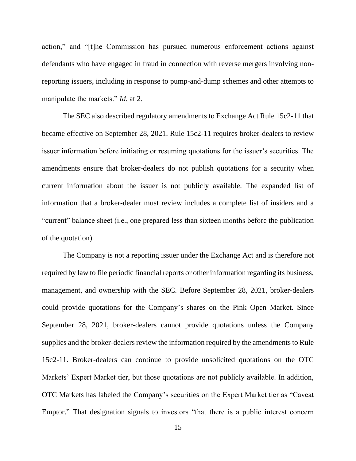action," and "[t]he Commission has pursued numerous enforcement actions against defendants who have engaged in fraud in connection with reverse mergers involving nonreporting issuers, including in response to pump-and-dump schemes and other attempts to manipulate the markets." *Id.* at 2.

The SEC also described regulatory amendments to Exchange Act Rule 15c2-11 that became effective on September 28, 2021. Rule 15c2-11 requires broker-dealers to review issuer information before initiating or resuming quotations for the issuer's securities. The amendments ensure that broker-dealers do not publish quotations for a security when current information about the issuer is not publicly available. The expanded list of information that a broker-dealer must review includes a complete list of insiders and a "current" balance sheet (i.e., one prepared less than sixteen months before the publication of the quotation).

The Company is not a reporting issuer under the Exchange Act and is therefore not required by law to file periodic financial reports or other information regarding its business, management, and ownership with the SEC. Before September 28, 2021, broker-dealers could provide quotations for the Company's shares on the Pink Open Market. Since September 28, 2021, broker-dealers cannot provide quotations unless the Company supplies and the broker-dealers review the information required by the amendments to Rule 15c2-11. Broker-dealers can continue to provide unsolicited quotations on the OTC Markets' Expert Market tier, but those quotations are not publicly available. In addition, OTC Markets has labeled the Company's securities on the Expert Market tier as "Caveat Emptor." That designation signals to investors "that there is a public interest concern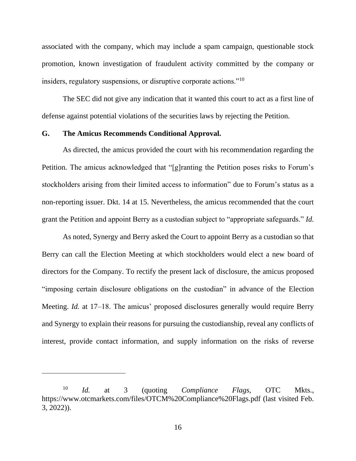associated with the company, which may include a spam campaign, questionable stock promotion, known investigation of fraudulent activity committed by the company or insiders, regulatory suspensions, or disruptive corporate actions."<sup>10</sup>

The SEC did not give any indication that it wanted this court to act as a first line of defense against potential violations of the securities laws by rejecting the Petition.

#### **G. The Amicus Recommends Conditional Approval.**

As directed, the amicus provided the court with his recommendation regarding the Petition. The amicus acknowledged that "[g]ranting the Petition poses risks to Forum's stockholders arising from their limited access to information" due to Forum's status as a non-reporting issuer. Dkt. 14 at 15. Nevertheless, the amicus recommended that the court grant the Petition and appoint Berry as a custodian subject to "appropriate safeguards." *Id.*

As noted, Synergy and Berry asked the Court to appoint Berry as a custodian so that Berry can call the Election Meeting at which stockholders would elect a new board of directors for the Company. To rectify the present lack of disclosure, the amicus proposed "imposing certain disclosure obligations on the custodian" in advance of the Election Meeting. *Id.* at 17–18. The amicus' proposed disclosures generally would require Berry and Synergy to explain their reasons for pursuing the custodianship, reveal any conflicts of interest, provide contact information, and supply information on the risks of reverse

<sup>10</sup> *Id.* at 3 (quoting *Compliance Flags*, OTC Mkts., https://www.otcmarkets.com/files/OTCM%20Compliance%20Flags.pdf (last visited Feb. 3, 2022)).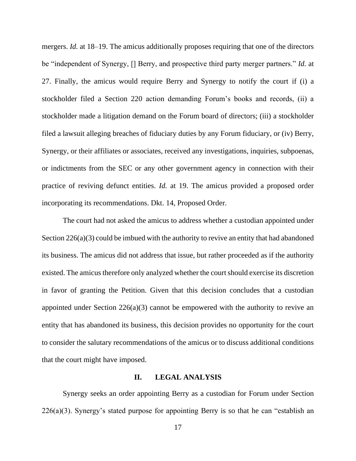mergers. *Id.* at 18–19. The amicus additionally proposes requiring that one of the directors be "independent of Synergy, [] Berry, and prospective third party merger partners." *Id.* at 27. Finally, the amicus would require Berry and Synergy to notify the court if (i) a stockholder filed a Section 220 action demanding Forum's books and records, (ii) a stockholder made a litigation demand on the Forum board of directors; (iii) a stockholder filed a lawsuit alleging breaches of fiduciary duties by any Forum fiduciary, or (iv) Berry, Synergy, or their affiliates or associates, received any investigations, inquiries, subpoenas, or indictments from the SEC or any other government agency in connection with their practice of reviving defunct entities. *Id.* at 19. The amicus provided a proposed order incorporating its recommendations. Dkt. 14, Proposed Order.

The court had not asked the amicus to address whether a custodian appointed under Section 226(a)(3) could be imbued with the authority to revive an entity that had abandoned its business. The amicus did not address that issue, but rather proceeded as if the authority existed. The amicus therefore only analyzed whether the court should exercise its discretion in favor of granting the Petition. Given that this decision concludes that a custodian appointed under Section 226(a)(3) cannot be empowered with the authority to revive an entity that has abandoned its business, this decision provides no opportunity for the court to consider the salutary recommendations of the amicus or to discuss additional conditions that the court might have imposed.

### **II. LEGAL ANALYSIS**

Synergy seeks an order appointing Berry as a custodian for Forum under Section  $226(a)(3)$ . Synergy's stated purpose for appointing Berry is so that he can "establish an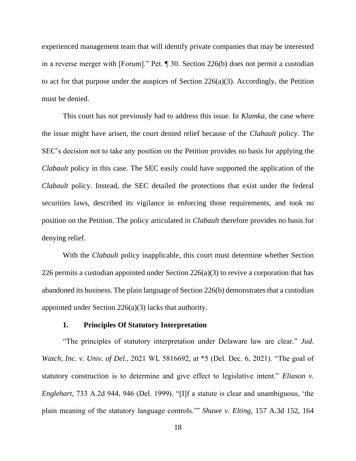experienced management team that will identify private companies that may be interested in a reverse merger with [Forum]." Pet. ¶ 30. Section 226(b) does not permit a custodian to act for that purpose under the auspices of Section 226(a)(3). Accordingly, the Petition must be denied.

This court has not previously had to address this issue. In *Klamka*, the case where the issue might have arisen, the court denied relief because of the *Clabault* policy. The SEC's decision not to take any position on the Petition provides no basis for applying the *Clabault* policy in this case. The SEC easily could have supported the application of the *Clabault* policy. Instead, the SEC detailed the protections that exist under the federal securities laws, described its vigilance in enforcing those requirements, and took no position on the Petition. The policy articulated in *Clabault* therefore provides no basis for denying relief.

With the *Clabault* policy inapplicable, this court must determine whether Section 226 permits a custodian appointed under Section  $226(a)(3)$  to revive a corporation that has abandoned its business. The plain language of Section 226(b) demonstrates that a custodian appointed under Section 226(a)(3) lacks that authority.

## **1. Principles Of Statutory Interpretation**

"The principles of statutory interpretation under Delaware law are clear." *Jud. Watch, Inc. v. Univ. of Del.*, 2021 WL 5816692, at \*5 (Del. Dec. 6, 2021). "The goal of statutory construction is to determine and give effect to legislative intent." *Eliason v. Englehart*, 733 A.2d 944, 946 (Del. 1999). "[I]f a statute is clear and unambiguous, 'the plain meaning of the statutory language controls.'" *Shawe v. Elting*, 157 A.3d 152, 164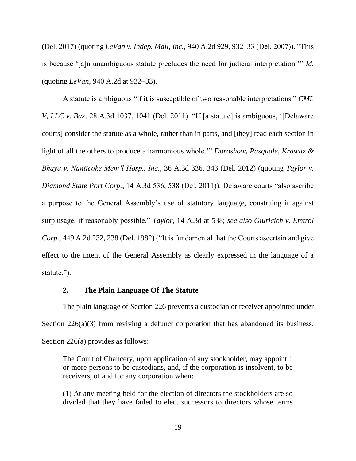(Del. 2017) (quoting *LeVan v. Indep. Mall, Inc.*, 940 A.2d 929, 932–33 (Del. 2007)). "This is because '[a]n unambiguous statute precludes the need for judicial interpretation.'" *Id.*  (quoting *LeVan*, 940 A.2d at 932–33).

A statute is ambiguous "if it is susceptible of two reasonable interpretations." *CML V, LLC v. Bax*, 28 A.3d 1037, 1041 (Del. 2011). "If [a statute] is ambiguous, '[Delaware courts] consider the statute as a whole, rather than in parts, and [they] read each section in light of all the others to produce a harmonious whole.'" *Doroshow, Pasquale, Krawitz & Bhaya v. Nanticoke Mem'l Hosp., Inc.*, 36 A.3d 336, 343 (Del. 2012) (quoting *Taylor v. Diamond State Port Corp.*, 14 A.3d 536, 538 (Del. 2011)). Delaware courts "also ascribe a purpose to the General Assembly's use of statutory language, construing it against surplusage, if reasonably possible." *Taylor*, 14 A.3d at 538; *see also Giuricich v. Emtrol Corp.*, 449 A.2d 232, 238 (Del. 1982) ("It is fundamental that the Courts ascertain and give effect to the intent of the General Assembly as clearly expressed in the language of a statute.").

#### **2. The Plain Language Of The Statute**

The plain language of Section 226 prevents a custodian or receiver appointed under Section 226(a)(3) from reviving a defunct corporation that has abandoned its business. Section 226(a) provides as follows:

The Court of Chancery, upon application of any stockholder, may appoint 1 or more persons to be custodians, and, if the corporation is insolvent, to be receivers, of and for any corporation when:

(1) At any meeting held for the election of directors the stockholders are so divided that they have failed to elect successors to directors whose terms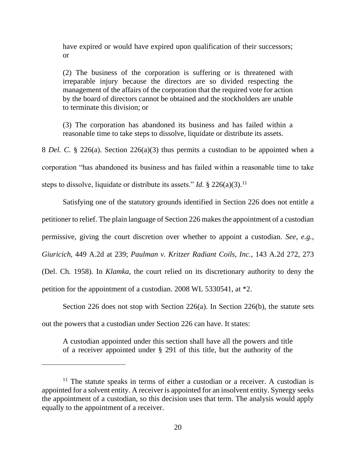have expired or would have expired upon qualification of their successors; or

(2) The business of the corporation is suffering or is threatened with irreparable injury because the directors are so divided respecting the management of the affairs of the corporation that the required vote for action by the board of directors cannot be obtained and the stockholders are unable to terminate this division; or

(3) The corporation has abandoned its business and has failed within a reasonable time to take steps to dissolve, liquidate or distribute its assets.

8 *Del. C.* § 226(a). Section 226(a)(3) thus permits a custodian to be appointed when a corporation "has abandoned its business and has failed within a reasonable time to take steps to dissolve, liquidate or distribute its assets." *Id.* § 226(a)(3).<sup>11</sup>

Satisfying one of the statutory grounds identified in Section 226 does not entitle a petitioner to relief. The plain language of Section 226 makes the appointment of a custodian permissive, giving the court discretion over whether to appoint a custodian. *See, e.g.*, *Giuricich*, 449 A.2d at 239; *Paulman v. Kritzer Radiant Coils, Inc.*, 143 A.2d 272, 273 (Del. Ch. 1958). In *Klamka*, the court relied on its discretionary authority to deny the petition for the appointment of a custodian. 2008 WL 5330541, at \*2.

Section 226 does not stop with Section 226(a). In Section 226(b), the statute sets out the powers that a custodian under Section 226 can have. It states:

A custodian appointed under this section shall have all the powers and title of a receiver appointed under § 291 of this title, but the authority of the

 $11$  The statute speaks in terms of either a custodian or a receiver. A custodian is appointed for a solvent entity. A receiver is appointed for an insolvent entity. Synergy seeks the appointment of a custodian, so this decision uses that term. The analysis would apply equally to the appointment of a receiver.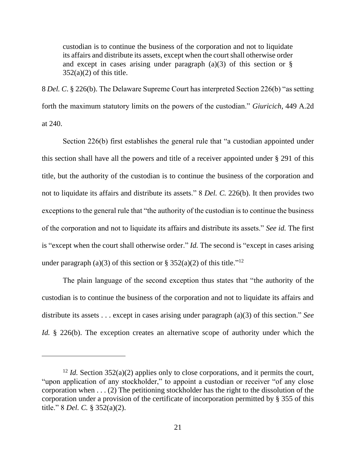custodian is to continue the business of the corporation and not to liquidate its affairs and distribute its assets, except when the court shall otherwise order and except in cases arising under paragraph  $(a)(3)$  of this section or §  $352(a)(2)$  of this title.

8 *Del. C*. § 226(b). The Delaware Supreme Court has interpreted Section 226(b) "as setting forth the maximum statutory limits on the powers of the custodian." *Giuricich*, 449 A.2d at 240.

Section 226(b) first establishes the general rule that "a custodian appointed under this section shall have all the powers and title of a receiver appointed under § 291 of this title, but the authority of the custodian is to continue the business of the corporation and not to liquidate its affairs and distribute its assets." 8 *Del. C.* 226(b). It then provides two exceptions to the general rule that "the authority of the custodian is to continue the business of the corporation and not to liquidate its affairs and distribute its assets." *See id.* The first is "except when the court shall otherwise order." *Id.* The second is "except in cases arising under paragraph (a)(3) of this section or § 352(a)(2) of this title.<sup>"12</sup>

The plain language of the second exception thus states that "the authority of the custodian is to continue the business of the corporation and not to liquidate its affairs and distribute its assets . . . except in cases arising under paragraph (a)(3) of this section." *See Id.* § 226(b). The exception creates an alternative scope of authority under which the

<sup>&</sup>lt;sup>12</sup> *Id.* Section 352(a)(2) applies only to close corporations, and it permits the court, "upon application of any stockholder," to appoint a custodian or receiver "of any close corporation when . . . (2) The petitioning stockholder has the right to the dissolution of the corporation under a provision of the certificate of incorporation permitted by § 355 of this title." 8 *Del. C.* § 352(a)(2).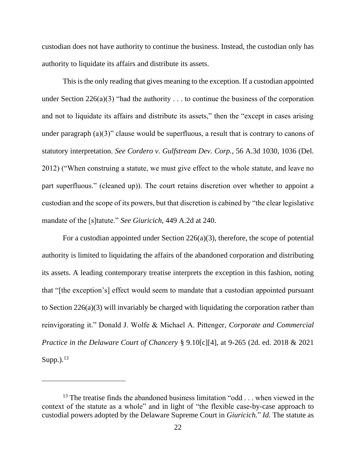custodian does not have authority to continue the business. Instead, the custodian only has authority to liquidate its affairs and distribute its assets.

This is the only reading that gives meaning to the exception. If a custodian appointed under Section 226(a)(3) "had the authority  $\dots$  to continue the business of the corporation and not to liquidate its affairs and distribute its assets," then the "except in cases arising under paragraph  $(a)(3)$ " clause would be superfluous, a result that is contrary to canons of statutory interpretation. *See Cordero v. Gulfstream Dev. Corp.*, 56 A.3d 1030, 1036 (Del. 2012) ("When construing a statute, we must give effect to the whole statute, and leave no part superfluous." (cleaned up)). The court retains discretion over whether to appoint a custodian and the scope of its powers, but that discretion is cabined by "the clear legislative mandate of the [s]tatute." *See Giuricich*, 449 A.2d at 240.

For a custodian appointed under Section 226(a)(3), therefore, the scope of potential authority is limited to liquidating the affairs of the abandoned corporation and distributing its assets. A leading contemporary treatise interprets the exception in this fashion, noting that "[the exception's] effect would seem to mandate that a custodian appointed pursuant to Section 226(a)(3) will invariably be charged with liquidating the corporation rather than reinvigorating it." Donald J. Wolfe & Michael A. Pittenger, *Corporate and Commercial Practice in the Delaware Court of Chancery* § 9.10[c][4], at 9-265 (2d. ed. 2018 & 2021 Supp.). $^{13}$ 

<sup>&</sup>lt;sup>13</sup> The treatise finds the abandoned business limitation "odd . . . when viewed in the context of the statute as a whole" and in light of "the flexible case-by-case approach to custodial powers adopted by the Delaware Supreme Court in *Giuricich.*" *Id.* The statute as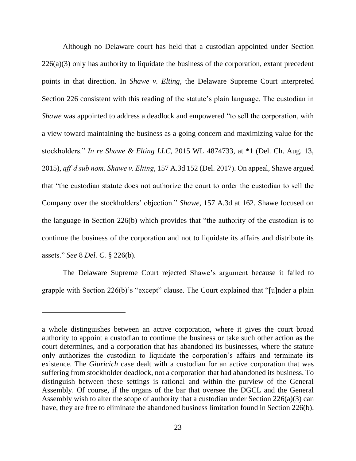Although no Delaware court has held that a custodian appointed under Section  $226(a)(3)$  only has authority to liquidate the business of the corporation, extant precedent points in that direction. In *Shawe v. Elting*, the Delaware Supreme Court interpreted Section 226 consistent with this reading of the statute's plain language. The custodian in *Shawe* was appointed to address a deadlock and empowered "to sell the corporation, with a view toward maintaining the business as a going concern and maximizing value for the stockholders." *In re Shawe & Elting LLC*, 2015 WL 4874733, at \*1 (Del. Ch. Aug. 13, 2015), *aff'd sub nom. Shawe v. Elting*, 157 A.3d 152 (Del. 2017). On appeal, Shawe argued that "the custodian statute does not authorize the court to order the custodian to sell the Company over the stockholders' objection." *Shawe*, 157 A.3d at 162. Shawe focused on the language in Section 226(b) which provides that "the authority of the custodian is to continue the business of the corporation and not to liquidate its affairs and distribute its assets." *See* 8 *Del. C.* § 226(b).

The Delaware Supreme Court rejected Shawe's argument because it failed to grapple with Section 226(b)'s "except" clause. The Court explained that "[u]nder a plain

a whole distinguishes between an active corporation, where it gives the court broad authority to appoint a custodian to continue the business or take such other action as the court determines, and a corporation that has abandoned its businesses, where the statute only authorizes the custodian to liquidate the corporation's affairs and terminate its existence. The *Giuricich* case dealt with a custodian for an active corporation that was suffering from stockholder deadlock, not a corporation that had abandoned its business. To distinguish between these settings is rational and within the purview of the General Assembly. Of course, if the organs of the bar that oversee the DGCL and the General Assembly wish to alter the scope of authority that a custodian under Section  $226(a)(3)$  can have, they are free to eliminate the abandoned business limitation found in Section 226(b).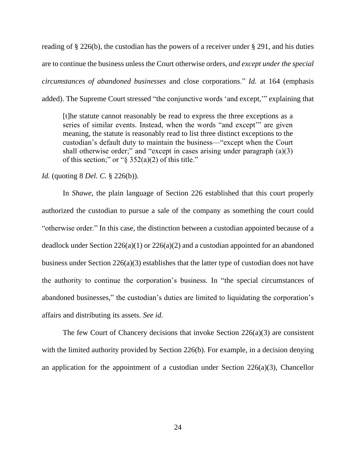reading of § 226(b), the custodian has the powers of a receiver under § 291, and his duties are to continue the business unless the Court otherwise orders, *and except under the special circumstances of abandoned businesses* and close corporations." *Id.* at 164 (emphasis added). The Supreme Court stressed "the conjunctive words 'and except,'" explaining that

[t]he statute cannot reasonably be read to express the three exceptions as a series of similar events. Instead, when the words "and except'" are given meaning, the statute is reasonably read to list three distinct exceptions to the custodian's default duty to maintain the business—"except when the Court shall otherwise order;" and "except in cases arising under paragraph (a)(3) of this section;" or " $\S 352(a)(2)$  of this title."

*Id.* (quoting 8 *Del. C.* § 226(b)).

In *Shawe*, the plain language of Section 226 established that this court properly authorized the custodian to pursue a sale of the company as something the court could "otherwise order." In this case, the distinction between a custodian appointed because of a deadlock under Section 226(a)(1) or 226(a)(2) and a custodian appointed for an abandoned business under Section 226(a)(3) establishes that the latter type of custodian does not have the authority to continue the corporation's business. In "the special circumstances of abandoned businesses," the custodian's duties are limited to liquidating the corporation's affairs and distributing its assets. *See id.*

The few Court of Chancery decisions that invoke Section 226(a)(3) are consistent with the limited authority provided by Section 226(b). For example, in a decision denying an application for the appointment of a custodian under Section  $226(a)(3)$ , Chancellor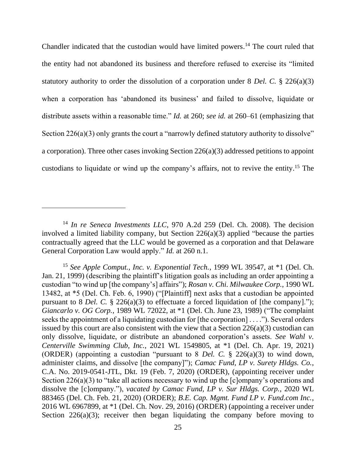Chandler indicated that the custodian would have limited powers.<sup>14</sup> The court ruled that the entity had not abandoned its business and therefore refused to exercise its "limited statutory authority to order the dissolution of a corporation under 8 *Del. C.* § 226(a)(3) when a corporation has 'abandoned its business' and failed to dissolve, liquidate or distribute assets within a reasonable time." *Id.* at 260; *see id.* at 260–61 (emphasizing that Section  $226(a)(3)$  only grants the court a "narrowly defined statutory authority to dissolve" a corporation). Three other cases invoking Section 226(a)(3) addressed petitions to appoint custodians to liquidate or wind up the company's affairs, not to revive the entity. <sup>15</sup> The

<sup>&</sup>lt;sup>14</sup> In re Seneca Investments LLC, 970 A.2d 259 (Del. Ch. 2008). The decision involved a limited liability company, but Section 226(a)(3) applied "because the parties contractually agreed that the LLC would be governed as a corporation and that Delaware General Corporation Law would apply." *Id.* at 260 n.1.

<sup>15</sup> *See Apple Comput., Inc. v. Exponential Tech.*, 1999 WL 39547, at \*1 (Del. Ch. Jan. 21, 1999) (describing the plaintiff's litigation goals as including an order appointing a custodian "to wind up [the company's] affairs"); *Rosan v. Chi. Milwaukee Corp.*, 1990 WL 13482, at \*5 (Del. Ch. Feb. 6, 1990) ("[Plaintiff] next asks that a custodian be appointed pursuant to 8 *Del. C.* § 226(a)(3) to effectuate a forced liquidation of [the company]."); *Giancarlo v. OG Corp.*, 1989 WL 72022, at \*1 (Del. Ch. June 23, 1989) ("The complaint seeks the appointment of a liquidating custodian for [the corporation] . . . ."). Several orders issued by this court are also consistent with the view that a Section 226(a)(3) custodian can only dissolve, liquidate, or distribute an abandoned corporation's assets. *See Wahl v. Centerville Swimming Club, Inc.*, 2021 WL 1549805, at \*1 (Del. Ch. Apr. 19, 2021) (ORDER) (appointing a custodian "pursuant to 8 *Del. C.* § 226(a)(3) to wind down, administer claims, and dissolve [the company]"); *Camac Fund, LP v. Surety Hldgs. Co.*, C.A. No. 2019-0541-JTL, Dkt. 19 (Feb. 7, 2020) (ORDER), (appointing receiver under Section 226(a)(3) to "take all actions necessary to wind up the [c]ompany's operations and dissolve the [c]ompany."), *vacated by Camac Fund, LP v. Sur Hldgs. Corp.*, 2020 WL 883465 (Del. Ch. Feb. 21, 2020) (ORDER); *B.E. Cap. Mgmt. Fund LP v. Fund.com Inc.*, 2016 WL 6967899, at \*1 (Del. Ch. Nov. 29, 2016) (ORDER) (appointing a receiver under Section 226(a)(3); receiver then began liquidating the company before moving to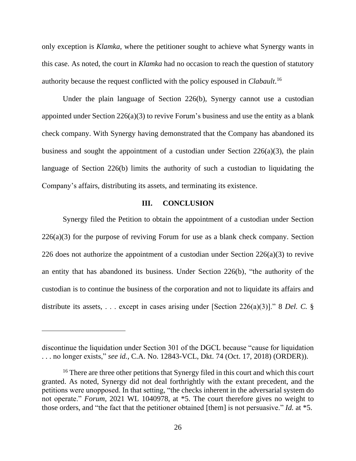only exception is *Klamka*, where the petitioner sought to achieve what Synergy wants in this case. As noted, the court in *Klamka* had no occasion to reach the question of statutory authority because the request conflicted with the policy espoused in *Clabault*. 16

Under the plain language of Section 226(b), Synergy cannot use a custodian appointed under Section 226(a)(3) to revive Forum's business and use the entity as a blank check company. With Synergy having demonstrated that the Company has abandoned its business and sought the appointment of a custodian under Section 226(a)(3), the plain language of Section 226(b) limits the authority of such a custodian to liquidating the Company's affairs, distributing its assets, and terminating its existence.

### **III. CONCLUSION**

Synergy filed the Petition to obtain the appointment of a custodian under Section 226(a)(3) for the purpose of reviving Forum for use as a blank check company. Section 226 does not authorize the appointment of a custodian under Section 226(a)(3) to revive an entity that has abandoned its business. Under Section 226(b), "the authority of the custodian is to continue the business of the corporation and not to liquidate its affairs and distribute its assets, . . . except in cases arising under [Section 226(a)(3)]." 8 *Del. C.* §

discontinue the liquidation under Section 301 of the DGCL because "cause for liquidation . . . no longer exists," *see id.*, C.A. No. 12843-VCL, Dkt. 74 (Oct. 17, 2018) (ORDER)).

<sup>&</sup>lt;sup>16</sup> There are three other petitions that Synergy filed in this court and which this court granted. As noted, Synergy did not deal forthrightly with the extant precedent, and the petitions were unopposed. In that setting, "the checks inherent in the adversarial system do not operate." *Forum*, 2021 WL 1040978, at \*5. The court therefore gives no weight to those orders, and "the fact that the petitioner obtained [them] is not persuasive." *Id.* at \*5.